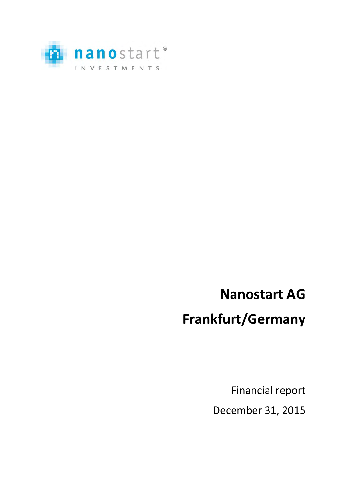

# **Nanostart AG**

# **Frankfurt/Germany**

Financial report December 31, 2015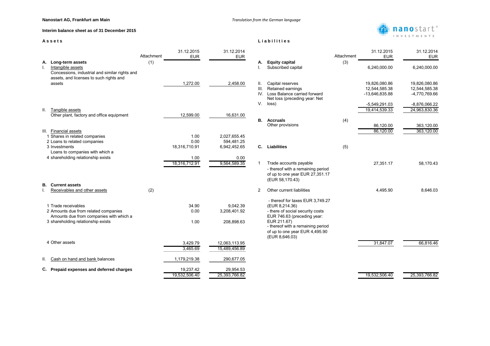**Interim balance sheet as of 31 December 2015**

|    |                                                                                                                                              | Attachment | 31.12.2015<br><b>EUR</b>      | 31.12.2014<br><b>EUR</b>                   |                   |                                                                                                                                                                                                             | Attachment | 31.12.2015<br><b>EUR</b>                         | 31.12.2014<br><b>EUR</b>                        |
|----|----------------------------------------------------------------------------------------------------------------------------------------------|------------|-------------------------------|--------------------------------------------|-------------------|-------------------------------------------------------------------------------------------------------------------------------------------------------------------------------------------------------------|------------|--------------------------------------------------|-------------------------------------------------|
| Α. | Long-term assets<br>Intangible assets<br>Concessions, industrial and similar rights and                                                      | (1)        |                               |                                            | А.                | <b>Equity capital</b><br>Subscribed capital                                                                                                                                                                 | (3)        | 6,240,000.00                                     | 6,240,000.00                                    |
|    | assets, and licenses to such rights and<br>assets                                                                                            |            | 1,272.00                      | 2,458.00                                   | Ш.<br>III.<br>IV. | Capital reserves<br>Retained earnings<br>Loss Balance carried forward<br>Net loss (preceding year: Net                                                                                                      |            | 19,826,080.86<br>12,544,585.38<br>-13,646,835.88 | 19,826,080.86<br>12,544,585.38<br>-4,770,769.66 |
| Ш. | Tangible assets<br>Other plant, factory and office equipment                                                                                 |            | 12,599.00                     | 16,631.00                                  | V.                | loss)                                                                                                                                                                                                       |            | $-5,549,291.03$<br>19,414,539.33                 | $-8,876,066.22$<br>24,963,830.36                |
|    | III. Financial assets                                                                                                                        |            |                               |                                            | В.                | <b>Accruals</b><br>Other provisions                                                                                                                                                                         | (4)        | 86,120.00<br>86,120.00                           | 363,120.00<br>363,120.00                        |
|    | 1 Shares in related companies<br>2 Loans to related companies<br>3 Investments<br>Loans to companies with which a                            |            | 1.00<br>0.00<br>18,316,710.91 | 2,027,655.45<br>594,481.25<br>6,942,452.65 | $\mathbf{C}$ .    | <b>Liabilities</b>                                                                                                                                                                                          | (5)        |                                                  |                                                 |
|    | 4 shareholding relationship exists                                                                                                           |            | 1.00<br>18,316,712.91         | 0.00<br>9,564,589.35                       |                   | Trade accounts payable<br>- thereof with a remaining period<br>of up to one year EUR 27,351.17<br>(EUR 58,170.43)                                                                                           |            | 27,351.17                                        | 58,170.43                                       |
| В. | <b>Current assets</b><br>Receivables and other assets                                                                                        | (2)        |                               |                                            | 2                 | Other current liabilities                                                                                                                                                                                   |            | 4,495.90                                         | 8,646.03                                        |
|    | 1 Trade receivables<br>2 Amounts due from related companies<br>Amounts due from companies with which a<br>3 shareholding relationship exists |            | 34.90<br>0.00<br>1.00         | 9,042.39<br>3,208,401.92<br>208,898.63     |                   | - thereof for taxes EUR 3,749.27<br>(EUR 8,214.36)<br>- there of social security costs<br>EUR 746.63 (preceding year:<br>EUR 211.67)<br>- thereof with a remaining period<br>of up to one year EUR 4,495.90 |            |                                                  |                                                 |
|    | 4 Other assets                                                                                                                               |            | 3,429.79<br>3,465.69          | 12,063,113.95<br>15,489,456.89             |                   | (EUR 8,646.03)                                                                                                                                                                                              |            | 31,847.07                                        | 66,816.46                                       |
| Ш. | Cash on hand and bank balances                                                                                                               |            | 1,179,219.38                  | 290,677.05                                 |                   |                                                                                                                                                                                                             |            |                                                  |                                                 |
|    | C. Prepaid expenses and deferred charges                                                                                                     |            | 19,237.42<br>19,532,506.40    | 29,954.53<br>25,393,766.82                 |                   |                                                                                                                                                                                                             |            | 19,532,506.40                                    | 25,393,766.82                                   |

# manostart<sup>®</sup> INVESTMENTS



# A s s e t s **Liabilities**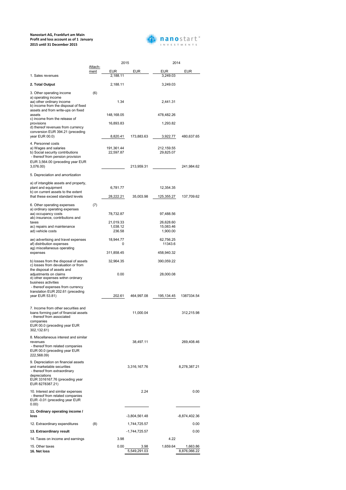|                                                                                                                                                         |                 | 2015                            |            | 2014                               |            |
|---------------------------------------------------------------------------------------------------------------------------------------------------------|-----------------|---------------------------------|------------|------------------------------------|------------|
|                                                                                                                                                         | Attach-<br>ment | <b>EUR</b>                      | <b>EUR</b> | <b>EUR</b>                         | <b>EUR</b> |
| 1. Sales revenues                                                                                                                                       |                 | 2,188.11                        |            | 3,249.03                           |            |
| 2. Total Output                                                                                                                                         |                 | 2,188.11                        |            | 3,249.03                           |            |
| 3. Other operating income<br>a) operating income<br>aa) other ordinary income<br>b) income from the disposal of fixed                                   | (6)             | 1.34                            |            | 2,441.31                           |            |
| assets and from write-ups on fixed<br>assets<br>c) income from the release of                                                                           |                 | 148,168.05                      |            | 478,482.26                         |            |
| provisions<br>d) thereof revenues from currency<br>conversion EUR 394.21 (preceding                                                                     |                 | 16,893.83                       |            | 1,293.82                           |            |
| year EUR 00.0)                                                                                                                                          |                 | 8,820.41                        | 173,883.63 | 3,922.77                           | 480,637.65 |
| 4. Personnel costs<br>a) Wages and salaries<br>b) Social security contributions<br>- thereof from pension provision<br>EUR 3,564.00 (preceding year EUR |                 | 191,361.44<br>22,597.87         |            | 212,159.55<br>29,825.07            |            |
| 3,076.00)                                                                                                                                               |                 |                                 | 213,959.31 |                                    | 241,984.62 |
| 5. Depreciation and amortization                                                                                                                        |                 |                                 |            |                                    |            |
| a) of intangible assets and property,<br>plant and equipment<br>b) on current assets to the extent                                                      |                 | 6,781.77                        |            | 12,354.35                          |            |
| that these exceed standard levels                                                                                                                       |                 | 28,222.21                       | 35,003.98  | 125,355.27                         | 137,709.62 |
| 6. Other operating expenses<br>a) ordinary operating expenses<br>aa) occupancy costs                                                                    | (7)             | 78,732.87                       |            | 97,488.56                          |            |
| ab) insurance, contributions and<br>taxes<br>ac) repairs and maintenance<br>ad) vehicle costs                                                           |                 | 21,019.33<br>1,038.12<br>236.58 |            | 26,628.60<br>15,083.46<br>1,900.00 |            |
| ae) advertising and travel expenses<br>af) distribution expenses<br>ag) miscellaneous operating                                                         |                 | 18,944.77<br>0                  |            | 62,756.25<br>11343.6               |            |
| expenses                                                                                                                                                |                 | 311,858.45                      |            | 458,940.32                         |            |
| b) losses from the disposal of assets<br>c) losses from devaluation or from<br>the disposal of assets and                                               |                 | 32,964.35                       |            | 390,059.22                         |            |
| adjustments on claims<br>d) other expenses within ordinary<br>business activities<br>- thereof expenses from currency                                   |                 | 0.00                            |            | 28,000.08                          |            |
| translation EUR 202.61 (preceding<br>year EUR 53.81)                                                                                                    |                 | 202.61                          | 464,997.08 | 195, 134. 45                       | 1387334.54 |
| 7. Income from other securities and<br>loans forming part of financial assets                                                                           |                 |                                 | 11,000.04  |                                    | 312,215.98 |

# **Nanostart AG, Frankfurt am Main Profit and loss account as of 1 January 2015 until 31 December 2015**



- thereof from associated

| companies<br>EUR 00.0 (preceding year EUR<br>302,132.61)                                                                                                               |     |      |                      |          |                          |
|------------------------------------------------------------------------------------------------------------------------------------------------------------------------|-----|------|----------------------|----------|--------------------------|
| 8. Miscellaneous interest and similar<br>revenues<br>- thereof from related companies<br>EUR 00.0 (preceding year EUR<br>222,568.09)                                   |     |      | 38,497.11            |          | 269,408.46               |
| 9. Depreciation on financial assets<br>and marketable securities<br>- thereof from extraordinary<br>depreciations<br>EUR 3316167.76 (preceding year<br>EUR 8278387.21) |     |      | 3,316,167.76         |          | 8,278,387.21             |
| 10. Interest and similar expenses<br>- thereof from related companies<br>EUR -0.01 (preceding year EUR<br>0.00)                                                        |     |      | 2.24                 |          | 0.00                     |
| 11. Ordinary operating income /<br>loss                                                                                                                                |     |      | $-3,804,561.48$      |          | $-8,874,402.36$          |
| 12. Extraordinary expenditures                                                                                                                                         | (8) |      | 1,744,725.57         |          | 0.00                     |
| 13. Extraordinary result                                                                                                                                               |     |      | $-1,744,725.57$      |          | 0.00                     |
|                                                                                                                                                                        |     |      |                      |          |                          |
| 14. Taxes on income and earnings                                                                                                                                       |     | 3.98 |                      | 4.22     |                          |
| 15. Other taxes<br>16. Net loss                                                                                                                                        |     | 0.00 | 3.98<br>5,549,291.03 | 1,659.64 | 1,663.86<br>8,876,066.22 |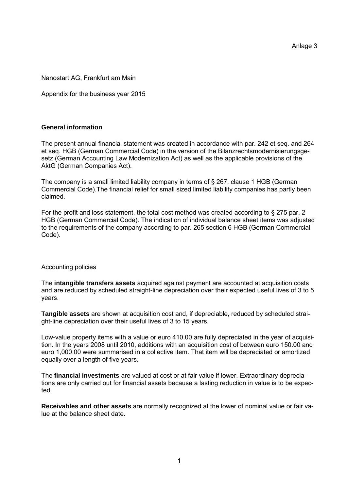Anlage 3

# Nanostart AG, Frankfurt am Main

Appendix for the business year 2015

# **General information**

The present annual financial statement was created in accordance with par. 242 et seq. and 264 et seq. HGB (German Commercial Code) in the version of the Bilanzrechtsmodernisierungsgesetz (German Accounting Law Modernization Act) as well as the applicable provisions of the AktG (German Companies Act).

The company is a small limited liability company in terms of § 267, clause 1 HGB (German Commercial Code).The financial relief for small sized limited liability companies has partly been claimed.

For the profit and loss statement, the total cost method was created according to § 275 par. 2 HGB (German Commercial Code). The indication of individual balance sheet items was adjusted to the requirements of the company according to par. 265 section 6 HGB (German Commercial Code).

### Accounting policies

The **intangible transfers assets** acquired against payment are accounted at acquisition costs and are reduced by scheduled straight-line depreciation over their expected useful lives of 3 to 5 years.

**Tangible assets** are shown at acquisition cost and, if depreciable, reduced by scheduled straight-line depreciation over their useful lives of 3 to 15 years.

Low-value property items with a value or euro 410.00 are fully depreciated in the year of acquisition. In the years 2008 until 2010, additions with an acquisition cost of between euro 150.00 and euro 1,000.00 were summarised in a collective item. That item will be depreciated or amortized equally over a length of five years.

The **financial investments** are valued at cost or at fair value if lower. Extraordinary depreciations are only carried out for financial assets because a lasting reduction in value is to be expected.

**Receivables and other assets** are normally recognized at the lower of nominal value or fair value at the balance sheet date.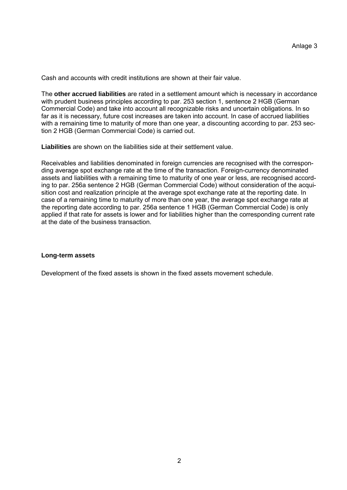Cash and accounts with credit institutions are shown at their fair value.

The **other accrued liabilities** are rated in a settlement amount which is necessary in accordance with prudent business principles according to par. 253 section 1, sentence 2 HGB (German Commercial Code) and take into account all recognizable risks and uncertain obligations. In so far as it is necessary, future cost increases are taken into account. In case of accrued liabilities with a remaining time to maturity of more than one year, a discounting according to par. 253 section 2 HGB (German Commercial Code) is carried out.

**Liabilities** are shown on the liabilities side at their settlement value.

Receivables and liabilities denominated in foreign currencies are recognised with the corresponding average spot exchange rate at the time of the transaction. Foreign-currency denominated assets and liabilities with a remaining time to maturity of one year or less, are recognised according to par. 256a sentence 2 HGB (German Commercial Code) without consideration of the acquisition cost and realization principle at the average spot exchange rate at the reporting date. In case of a remaining time to maturity of more than one year, the average spot exchange rate at the reporting date according to par. 256a sentence 1 HGB (German Commercial Code) is only applied if that rate for assets is lower and for liabilities higher than the corresponding current rate at the date of the business transaction.

### **Long-term assets**

Development of the fixed assets is shown in the fixed assets movement schedule.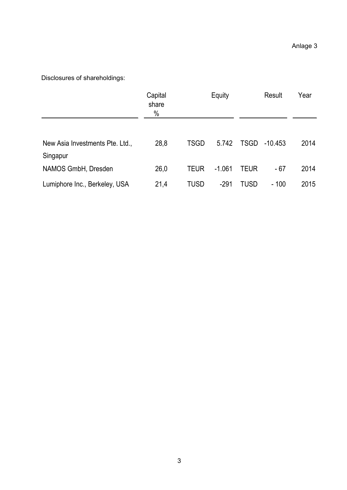| Disclosures of shareholdings:               | Capital<br>share<br>$\%$ |             | Equity   |             | Result    | Year |
|---------------------------------------------|--------------------------|-------------|----------|-------------|-----------|------|
| New Asia Investments Pte. Ltd.,<br>Singapur | 28,8                     | <b>TSGD</b> | 5.742    | <b>TSGD</b> | $-10.453$ | 2014 |
| NAMOS GmbH, Dresden                         | 26,0                     | <b>TEUR</b> | $-1.061$ | <b>TEUR</b> | $-67$     | 2014 |
| Lumiphore Inc., Berkeley, USA               | 21,4                     | <b>TUSD</b> | $-291$   | <b>TUSD</b> | $-100$    | 2015 |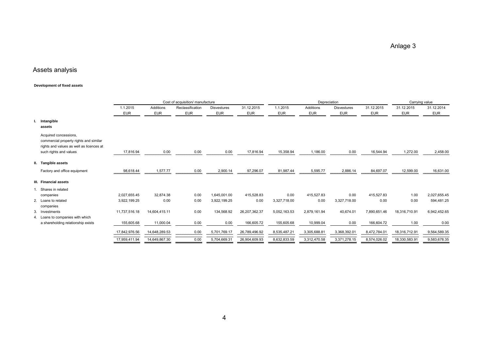Anlage 3

# Assets analysis

#### **Development of fixed assets**

| Development of fixed assets                                                                                 |               |               |                                  |                    |               |              |              |                    |              |               |                |
|-------------------------------------------------------------------------------------------------------------|---------------|---------------|----------------------------------|--------------------|---------------|--------------|--------------|--------------------|--------------|---------------|----------------|
|                                                                                                             |               |               | Cost of acquisition/ manufacture |                    |               |              |              | Depreciation       |              |               | Carrying value |
|                                                                                                             | 1.1.2015      | Additions     | Reclassification                 | <b>Disvestures</b> | 31.12.2015    | 1.1.2015     | Additions    | <b>Disvestures</b> | 31.12.2015   | 31.12.2015    | 31.12.2014     |
|                                                                                                             | <b>EUR</b>    | <b>EUR</b>    | <b>EUR</b>                       | <b>EUR</b>         | <b>EUR</b>    | <b>EUR</b>   | <b>EUR</b>   | <b>EUR</b>         | <b>EUR</b>   | <b>EUR</b>    | <b>EUR</b>     |
| Intangible<br>assets                                                                                        |               |               |                                  |                    |               |              |              |                    |              |               |                |
| Acquired concessions,<br>commercial property rights and similar<br>rights and values as well as licences at |               |               |                                  |                    |               |              |              |                    |              |               |                |
| such rights and values                                                                                      | 17,816.94     | 0.00          | 0.00                             | 0.00               | 17,816.94     | 15,358.94    | 1,186.00     | 0.00               | 16,544.94    | 1,272.00      | 2,458.00       |
| II. Tangible assets                                                                                         |               |               |                                  |                    |               |              |              |                    |              |               |                |
| Factory and office equipment                                                                                | 98,618.44     | 1,577.77      | 0.00                             | 2,900.14           | 97,296.07     | 81,987.44    | 5,595.77     | 2,886.14           | 84,697.07    | 12,599.00     | 16,631.00      |
| III. Financial assets                                                                                       |               |               |                                  |                    |               |              |              |                    |              |               |                |
| Shares in related                                                                                           |               |               |                                  |                    |               |              |              |                    |              |               |                |
| companies                                                                                                   | 2,027,655.45  | 32,874.38     | 0.00                             | 1,645,001.00       | 415,528.83    | 0.00         | 415,527.83   | 0.00               | 415,527.83   | 1.00          | 2,027,655.45   |
| 2. Loans to related<br>companies                                                                            | 3,922,199.25  | 0.00          | 0.00                             | 3,922,199.25       | 0.00          | 3,327,718.00 | 0.00         | 3,327,718.00       | 0.00         | 0.00          | 594,481.25     |
| 3. Investments                                                                                              | 11,737,516.18 | 14,604,415.11 | 0.00                             | 134,568.92         | 26,207,362.37 | 5,052,163.53 | 2,879,161.94 | 40,674.01          | 7,890,651.46 | 18,316,710.91 | 6,942,452.65   |
| 4. Loans to companies with which                                                                            |               |               |                                  |                    |               |              |              |                    |              |               |                |
| a shareholding relationship exists                                                                          | 155,605.68    | 11,000.04     | 0.00                             | 0.00               | 166,605.72    | 155,605.68   | 10,999.04    | 0.00               | 166,604.72   | 1.00          | 0.00           |
|                                                                                                             | 17,842,976.56 | 14,648,289.53 | 0.00                             | 5,701,769.17       | 26,789,496.92 | 8,535,487.21 | 3,305,688.81 | 3,368,392.01       | 8,472,784.01 | 18,316,712.91 | 9,564,589.35   |
|                                                                                                             | 17,959,411.94 | 14,649,867.30 | 0.00                             | 5,704,669.31       | 26,904,609.93 | 8,632,833.59 | 3,312,470.58 | 3,371,278.15       | 8,574,026.02 | 18,330,583.91 | 9,583,678.35   |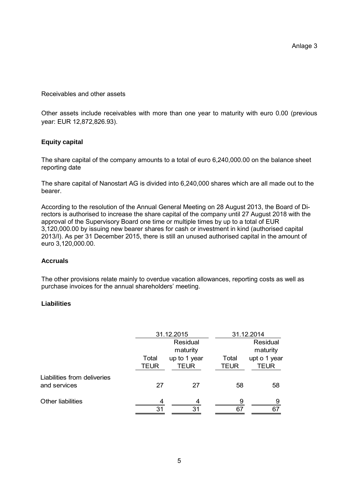Receivables and other assets

Other assets include receivables with more than one year to maturity with euro 0.00 (previous year: EUR 12,872,826.93).

# **Equity capital**

The share capital of the company amounts to a total of euro 6,240,000.00 on the balance sheet reporting date

The share capital of Nanostart AG is divided into 6,240,000 shares which are all made out to the bearer.

According to the resolution of the Annual General Meeting on 28 August 2013, the Board of Directors is authorised to increase the share capital of the company until 27 August 2018 with the approval of the Supervisory Board one time or multiple times by up to a total of EUR 3,120,000.00 by issuing new bearer shares for cash or investment in kind (authorised capital 2013/I). As per 31 December 2015, there is still an unused authorised capital in the amount of euro 3,120,000.00.

# **Accruals**

The other provisions relate mainly to overdue vacation allowances, reporting costs as well as purchase invoices for the annual shareholders' meeting.

# **Liabilities**

|                                             |                      | 31.12.2015                  | 31.12.2014           |                             |  |  |
|---------------------------------------------|----------------------|-----------------------------|----------------------|-----------------------------|--|--|
|                                             | Residual<br>maturity |                             | Residual<br>maturity |                             |  |  |
|                                             | Total<br><b>TEUR</b> | up to 1 year<br><b>TEUR</b> | Total<br>TEUR        | upt o 1 year<br><b>TEUR</b> |  |  |
| Liabilities from deliveries<br>and services | 27                   | 27                          | 58                   | 58                          |  |  |
| <b>Other liabilities</b>                    | 4<br>31              | 4<br>31                     | 9<br>67              | 9<br>67                     |  |  |